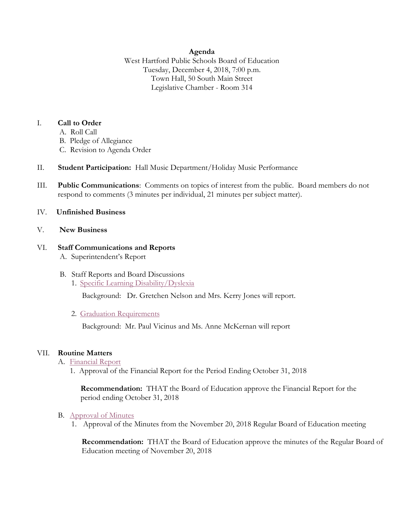## **Agenda**

West Hartford Public Schools Board of Education Tuesday, December 4, 2018, 7:00 p.m. Town Hall, 50 South Main Street Legislative Chamber - Room 314

## I. **Call to Order**

- A. Roll Call
- B. Pledge of Allegiance
- C. Revision to Agenda Order
- II. **Student Participation:** Hall Music Department/Holiday Music Performance
- III. **Public Communications**: Comments on topics of interest from the public. Board members do not respond to comments (3 minutes per individual, 21 minutes per subject matter).
- IV. **Unfinished Business**
- V. **New Business**

# VI. **Staff Communications and Reports**

- A. Superintendent's Report
- B. Staff Reports and Board Discussions
	- 1. [Specific Learning Disability/Dyslexia](https://westhartford.finalsite.com/uploaded/BOE/BOE_Documents/20181204/BOE_Dyslexia_12_4_18.pdf?1543606879899)

Background: Dr. Gretchen Nelson and Mrs. Kerry Jones will report.

2. [Graduation Requirements](https://westhartford.finalsite.com/uploaded/BOE/BOE_Documents/20181204/BOE_Grad_Req_Report_12_4_18.pdf?1543606909720)

Background: Mr. Paul Vicinus and Ms. Anne McKernan will report

## VII. **Routine Matters**

- A. [Financial Report](https://westhartford.finalsite.com/uploaded/BOE/BOE_Documents/20181204/Financial_Report_-_October_31,_2018.pdf?1543606926720)
	- 1. Approval of the Financial Report for the Period Ending October 31, 2018

**Recommendation:** THAT the Board of Education approve the Financial Report for the period ending October 31, 2018

#### B. [Approval of Minutes](https://westhartford.finalsite.com/uploaded/BOE/BOE_Documents/20181204/Minutes_Nov_20_Mtg.pdf?1543606943310)

1. Approval of the Minutes from the November 20, 2018 Regular Board of Education meeting

**Recommendation:** THAT the Board of Education approve the minutes of the Regular Board of Education meeting of November 20, 2018